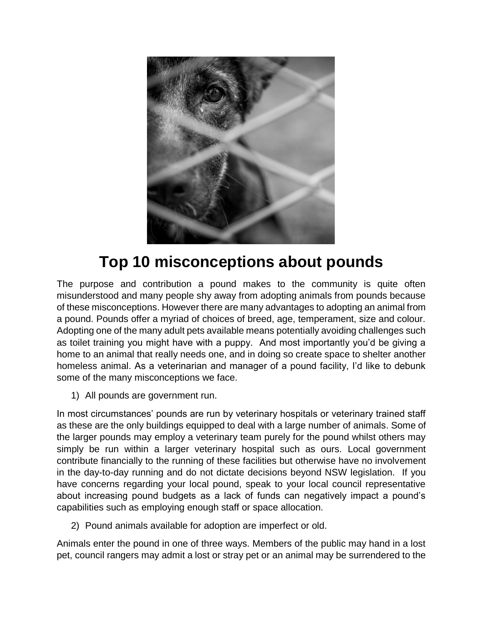

## **Top 10 misconceptions about pounds**

The purpose and contribution a pound makes to the community is quite often misunderstood and many people shy away from adopting animals from pounds because of these misconceptions. However there are many advantages to adopting an animal from a pound. Pounds offer a myriad of choices of breed, age, temperament, size and colour. Adopting one of the many adult pets available means potentially avoiding challenges such as toilet training you might have with a puppy. And most importantly you'd be giving a home to an animal that really needs one, and in doing so create space to shelter another homeless animal. As a veterinarian and manager of a pound facility, I'd like to debunk some of the many misconceptions we face.

1) All pounds are government run.

In most circumstances' pounds are run by veterinary hospitals or veterinary trained staff as these are the only buildings equipped to deal with a large number of animals. Some of the larger pounds may employ a veterinary team purely for the pound whilst others may simply be run within a larger veterinary hospital such as ours. Local government contribute financially to the running of these facilities but otherwise have no involvement in the day-to-day running and do not dictate decisions beyond NSW legislation. If you have concerns regarding your local pound, speak to your local council representative about increasing pound budgets as a lack of funds can negatively impact a pound's capabilities such as employing enough staff or space allocation.

2) Pound animals available for adoption are imperfect or old.

Animals enter the pound in one of three ways. Members of the public may hand in a lost pet, council rangers may admit a lost or stray pet or an animal may be surrendered to the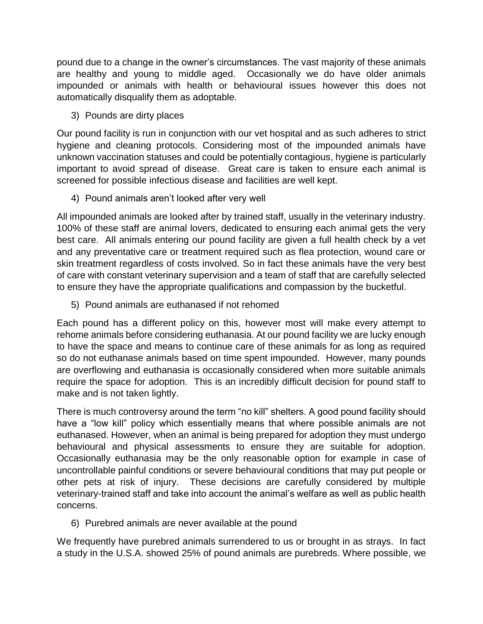pound due to a change in the owner's circumstances. The vast majority of these animals are healthy and young to middle aged. Occasionally we do have older animals impounded or animals with health or behavioural issues however this does not automatically disqualify them as adoptable.

3) Pounds are dirty places

Our pound facility is run in conjunction with our vet hospital and as such adheres to strict hygiene and cleaning protocols. Considering most of the impounded animals have unknown vaccination statuses and could be potentially contagious, hygiene is particularly important to avoid spread of disease. Great care is taken to ensure each animal is screened for possible infectious disease and facilities are well kept.

4) Pound animals aren't looked after very well

All impounded animals are looked after by trained staff, usually in the veterinary industry. 100% of these staff are animal lovers, dedicated to ensuring each animal gets the very best care. All animals entering our pound facility are given a full health check by a vet and any preventative care or treatment required such as flea protection, wound care or skin treatment regardless of costs involved. So in fact these animals have the very best of care with constant veterinary supervision and a team of staff that are carefully selected to ensure they have the appropriate qualifications and compassion by the bucketful.

5) Pound animals are euthanased if not rehomed

Each pound has a different policy on this, however most will make every attempt to rehome animals before considering euthanasia. At our pound facility we are lucky enough to have the space and means to continue care of these animals for as long as required so do not euthanase animals based on time spent impounded. However, many pounds are overflowing and euthanasia is occasionally considered when more suitable animals require the space for adoption. This is an incredibly difficult decision for pound staff to make and is not taken lightly.

There is much controversy around the term "no kill" shelters. A good pound facility should have a "low kill" policy which essentially means that where possible animals are not euthanased. However, when an animal is being prepared for adoption they must undergo behavioural and physical assessments to ensure they are suitable for adoption. Occasionally euthanasia may be the only reasonable option for example in case of uncontrollable painful conditions or severe behavioural conditions that may put people or other pets at risk of injury. These decisions are carefully considered by multiple veterinary-trained staff and take into account the animal's welfare as well as public health concerns.

6) Purebred animals are never available at the pound

We frequently have purebred animals surrendered to us or brought in as strays. In fact a study in the U.S.A. showed 25% of pound animals are purebreds. Where possible, we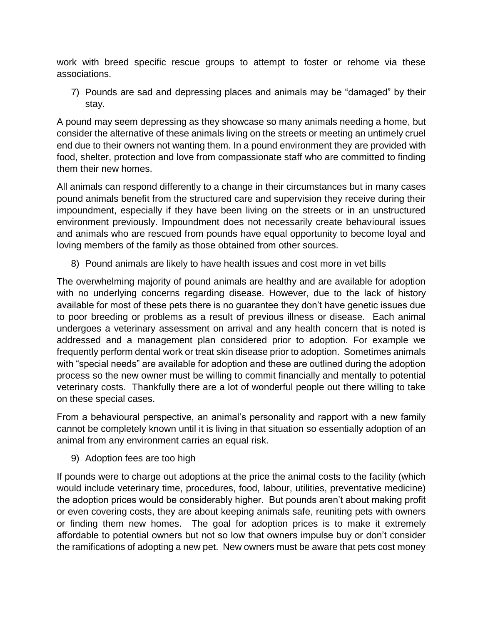work with breed specific rescue groups to attempt to foster or rehome via these associations.

7) Pounds are sad and depressing places and animals may be "damaged" by their stay.

A pound may seem depressing as they showcase so many animals needing a home, but consider the alternative of these animals living on the streets or meeting an untimely cruel end due to their owners not wanting them. In a pound environment they are provided with food, shelter, protection and love from compassionate staff who are committed to finding them their new homes.

All animals can respond differently to a change in their circumstances but in many cases pound animals benefit from the structured care and supervision they receive during their impoundment, especially if they have been living on the streets or in an unstructured environment previously. Impoundment does not necessarily create behavioural issues and animals who are rescued from pounds have equal opportunity to become loyal and loving members of the family as those obtained from other sources.

8) Pound animals are likely to have health issues and cost more in vet bills

The overwhelming majority of pound animals are healthy and are available for adoption with no underlying concerns regarding disease. However, due to the lack of history available for most of these pets there is no guarantee they don't have genetic issues due to poor breeding or problems as a result of previous illness or disease. Each animal undergoes a veterinary assessment on arrival and any health concern that is noted is addressed and a management plan considered prior to adoption. For example we frequently perform dental work or treat skin disease prior to adoption. Sometimes animals with "special needs" are available for adoption and these are outlined during the adoption process so the new owner must be willing to commit financially and mentally to potential veterinary costs. Thankfully there are a lot of wonderful people out there willing to take on these special cases.

From a behavioural perspective, an animal's personality and rapport with a new family cannot be completely known until it is living in that situation so essentially adoption of an animal from any environment carries an equal risk.

9) Adoption fees are too high

If pounds were to charge out adoptions at the price the animal costs to the facility (which would include veterinary time, procedures, food, labour, utilities, preventative medicine) the adoption prices would be considerably higher. But pounds aren't about making profit or even covering costs, they are about keeping animals safe, reuniting pets with owners or finding them new homes. The goal for adoption prices is to make it extremely affordable to potential owners but not so low that owners impulse buy or don't consider the ramifications of adopting a new pet. New owners must be aware that pets cost money